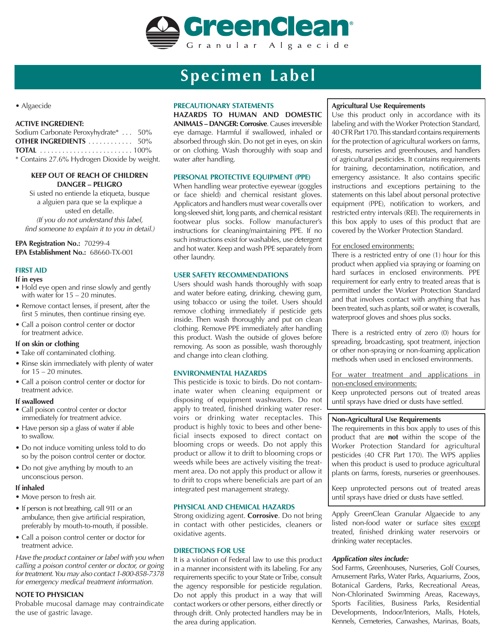

## **Specimen Label**

• Algaecide

#### **ACTIVE INGREDIENT:**

| Sodium Carbonate Peroxyhydrate*  50%         |  |
|----------------------------------------------|--|
| <b>OTHER INGREDIENTS</b> 50%                 |  |
|                                              |  |
| * Contains 27.6% Hydrogen Dioxide by weight. |  |

#### **KEEP OUT OF REACH OF CHILDREN DANGER – PELIGRO**

Si usted no entiende la etiqueta, busque a alguien para que se la explique a usted en detalle. *(If you do not understand this label, find someone to explain it to you in detail.)*

**EPA Registration No.:** 70299-4 **EPA Establishment No.:** 68660-TX-001

## **FIRST AID**

#### **If in eyes**

- Hold eye open and rinse slowly and gently with water for 15 – 20 minutes.
- Remove contact lenses, if present, after the first 5 minutes, then continue rinsing eye.
- Call a poison control center or doctor for treatment advice.

#### **If on skin or clothing**

- Take off contaminated clothing.
- Rinse skin immediately with plenty of water for  $15 - 20$  minutes.
- Call a poison control center or doctor for treatment advice.

#### **If swallowed**

- Call poison control center or doctor immediately for treatment advice.
- Have person sip a glass of water if able to swallow.
- Do not induce vomiting unless told to do so by the poison control center or doctor.
- Do not give anything by mouth to an unconscious person.

#### **If inhaled**

- Move person to fresh air.
- If person is not breathing, call 911 or an ambulance, then give artificial respiration, preferably by mouth-to-mouth, if possible.
- Call a poison control center or doctor for treatment advice.

*Have the product container or label with you when calling a poison control center or doctor, or going for treatment. You may also contact 1-800-858-7378 for emergency medical treatment information.*

#### **NOTE TO PHYSICIAN**

Probable mucosal damage may contraindicate the use of gastric lavage.

## **PRECAUTIONARY STATEMENTS**

**HAZARDS TO HUMAN AND DOMESTIC ANIMALS – DANGER: Corrosive**.Causes irreversible eye damage. Harmful if swallowed, inhaled or absorbed through skin. Do not get in eyes, on skin or on clothing. Wash thoroughly with soap and water after handling.

#### **PERSONAL PROTECTIVE EQUIPMENT (PPE)**

When handling wear protective eyewear (goggles or face shield) and chemical resistant gloves. Applicators and handlers must wear coveralls over long-sleeved shirt, long pants, and chemical resistant footwear plus socks. Follow manufacturer's instructions for cleaning/maintaining PPE. If no such instructions exist for washables, use detergent and hot water. Keep and wash PPE separately from other laundry.

#### **USER SAFETY RECOMMENDATIONS**

Users should wash hands thoroughly with soap and water before eating, drinking, chewing gum, using tobacco or using the toilet. Users should remove clothing immediately if pesticide gets inside. Then wash thoroughly and put on clean clothing. Remove PPE immediately after handling this product. Wash the outside of gloves before removing. As soon as possible, wash thoroughly and change into clean clothing.

#### **ENVIRONMENTAL HAZARDS**

This pesticide is toxic to birds. Do not contaminate water when cleaning equipment or disposing of equipment washwaters. Do not apply to treated, finished drinking water reservoirs or drinking water receptacles. This product is highly toxic to bees and other beneficial insects exposed to direct contact on blooming crops or weeds. Do not apply this product or allow it to drift to blooming crops or weeds while bees are actively visiting the treatment area. Do not apply this product or allow it to drift to crops where beneficials are part of an integrated pest management strategy.

#### **PHYSICAL AND CHEMICAL HAZARDS**

Strong oxidizing agent. **Corrosive**. Do not bring in contact with other pesticides, cleaners or oxidative agents.

#### **DIRECTIONS FOR USE**

It is a violation of Federal law to use this product in a manner inconsistent with its labeling. For any requirements specific to your State or Tribe, consult the agency responsible for pesticide regulation. Do not apply this product in a way that will contact workers or other persons, either directly or through drift. Only protected handlers may be in the area during application.

#### **Agricultural Use Requirements**

Use this product only in accordance with its labeling and with the Worker Protection Standard, 40 CFR Part 170. This standard contains requirements for the protection of agricultural workers on farms, forests, nurseries and greenhouses, and handlers of agricultural pesticides. It contains requirements for training, decontamination, notification, and emergency assistance. It also contains specific instructions and exceptions pertaining to the statements on this label about personal protective equipment (PPE), notification to workers, and restricted entry intervals (REI). The requirements in this box apply to uses of this product that are covered by the Worker Protection Standard.

#### For enclosed environments:

There is a restricted entry of one (1) hour for this product when applied via spraying or foaming on hard surfaces in enclosed environments. PPE requirement for early entry to treated areas that is permitted under the Worker Protection Standard and that involves contact with anything that has been treated, such as plants, soil or water, is coveralls, waterproof gloves and shoes plus socks.

There is a restricted entry of zero (0) hours for spreading, broadcasting, spot treatment, injection or other non-spraying or non-foaming application methods when used in enclosed environments.

For water treatment and applications in non-enclosed environments:

Keep unprotected persons out of treated areas until sprays have dried or dusts have settled.

#### **Non-Agricultural Use Requirements**

The requirements in this box apply to uses of this product that are **not** within the scope of the Worker Protection Standard for agricultural pesticides (40 CFR Part 170). The WPS applies when this product is used to produce agricultural plants on farms, forests, nurseries or greenhouses.

Keep unprotected persons out of treated areas until sprays have dried or dusts have settled.

Apply GreenClean Granular Algaecide to any listed non-food water or surface sites except treated, finished drinking water reservoirs or drinking water receptacles.

#### *Application sites include:*

Sod Farms, Greenhouses, Nurseries, Golf Courses, Amusement Parks, Water Parks, Aquariums, Zoos, Botanical Gardens, Parks, Recreational Areas, Non-Chlorinated Swimming Areas, Raceways, Sports Facilities, Business Parks, Residential Developments, Indoor/Interiors, Malls, Hotels, Kennels, Cemeteries, Carwashes, Marinas, Boats,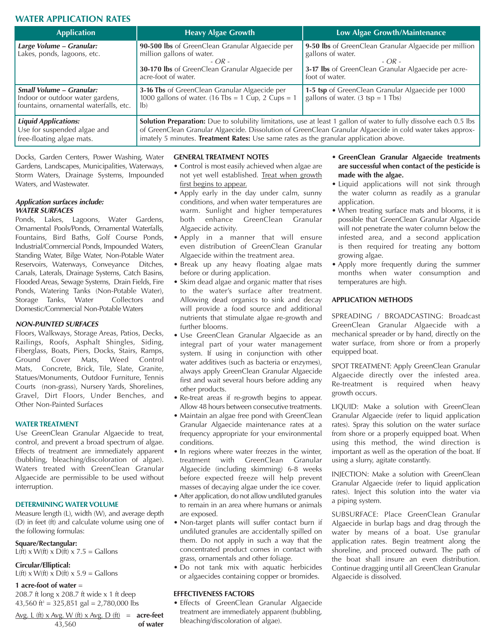## **WATER APPLICATION RATES**

| <b>Application</b>                                                                                            | <b>Heavy Algae Growth</b>                                                                                                                                                                                                                                                                                                        | Low Algae Growth/Maintenance                                                                                                                                   |  |
|---------------------------------------------------------------------------------------------------------------|----------------------------------------------------------------------------------------------------------------------------------------------------------------------------------------------------------------------------------------------------------------------------------------------------------------------------------|----------------------------------------------------------------------------------------------------------------------------------------------------------------|--|
| Large Volume – Granular:<br>Lakes, ponds, lagoons, etc.                                                       | 90-500 lbs of GreenClean Granular Algaecide per<br>million gallons of water.<br>$-$ OR $-$<br>30-170 lbs of GreenClean Granular Algaecide per<br>acre-foot of water.                                                                                                                                                             | 9-50 lbs of GreenClean Granular Algaecide per million<br>gallons of water.<br>$-OR -$<br>3-17 lbs of GreenClean Granular Algaecide per acre-<br>foot of water. |  |
| <b>Small Volume - Granular:</b><br>Indoor or outdoor water gardens,<br>fountains, ornamental waterfalls, etc. | 3-16 Tbs of GreenClean Granular Algaecide per<br>1000 gallons of water. (16 Tbs = 1 $\tilde{Cup}$ , 2 $\tilde{Cup}$ s = 1<br>$ b\rangle$                                                                                                                                                                                         | 1-5 tsp of GreenClean Granular Algaecide per 1000<br>gallons of water. $(3 \text{ tsp} = 1 \text{ Tbs})$                                                       |  |
| <b>Liquid Applications:</b><br>Use for suspended algae and<br>free-floating algae mats.                       | <b>Solution Preparation:</b> Due to solubility limitations, use at least 1 gallon of water to fully dissolve each 0.5 lbs<br>of GreenClean Granular Algaecide. Dissolution of GreenClean Granular Algaecide in cold water takes approx-<br>imately 5 minutes. Treatment Rates: Use same rates as the granular application above. |                                                                                                                                                                |  |

Docks, Garden Centers, Power Washing, Water Gardens, Landscapes, Municipalities, Waterways, Storm Waters, Drainage Systems, Impounded Waters, and Wastewater.

#### *Application surfaces include: WATER SURFACES*

Ponds, Lakes, Lagoons, Water Gardens, Ornamental Pools/Ponds, Ornamental Waterfalls, Fountains, Bird Baths, Golf Course Ponds, Industrial/Commercial Ponds, Impounded Waters, Standing Water, Bilge Water, Non-Potable Water Reservoirs, Waterways, Conveyance Ditches, Canals, Laterals, Drainage Systems, Catch Basins, Flooded Areas, Sewage Systems, Drain Fields, Fire Ponds, Watering Tanks (Non-Potable Water), Storage Tanks, Water Collectors and Domestic/Commercial Non-Potable Waters

#### *NON-PAINTED SURFACES*

Floors, Walkways, Storage Areas, Patios, Decks, Railings, Roofs, Asphalt Shingles, Siding, Fiberglass, Boats, Piers, Docks, Stairs, Ramps, Ground Cover Mats, Weed Control Mats, Concrete, Brick, Tile, Slate, Granite, Statues/Monuments, Outdoor Furniture, Tennis Courts (non-grass), Nursery Yards, Shorelines, Gravel, Dirt Floors, Under Benches, and Other Non-Painted Surfaces

### **WATER TREATMENT**

Use GreenClean Granular Algaecide to treat, control, and prevent a broad spectrum of algae. Effects of treatment are immediately apparent (bubbling, bleaching/discoloration of algae). Waters treated with GreenClean Granular Algaecide are permissible to be used without interruption.

#### **DETERMINING WATER VOLUME**

Measure length (L), width (W), and average depth (D) in feet (ft) and calculate volume using one of the following formulas:

## **Square/Rectangular:**

L( $\vec{f}$ t) x W( $\vec{f}$ t) x D( $\vec{f}$ t) x 7.5 = Gallons

## **Circular/Elliptical:**

L(ft) x W(ft) x  $D$ (ft) x 5.9 = Gallons

## **1 acre-foot of water** =

208.7 ft long x 208.7 ft wide x 1 ft deep 43,560 ft<sup>3</sup> = 325,851 gal = 2,780,000 lbs

| <u>Avg. L (ft) x Avg. W (ft) x Avg. D (ft)</u> = $\arctan$ <b>acre-feet</b> |          |
|-----------------------------------------------------------------------------|----------|
| 43,560                                                                      | of water |

#### **GENERAL TREATMENT NOTES**

- Control is most easily achieved when algae are not yet well established. Treat when growth first begins to appear.
- Apply early in the day under calm, sunny conditions, and when water temperatures are warm. Sunlight and higher temperatures both enhance GreenClean Granular Algaecide activity.
- Apply in a manner that will ensure even distribution of GreenClean Granular Algaecide within the treatment area.
- Break up any heavy floating algae mats before or during application.
- Skim dead algae and organic matter that rises to the water's surface after treatment. Allowing dead organics to sink and decay will provide a food source and additional nutrients that stimulate algae re-growth and further blooms.
- Use GreenClean Granular Algaecide as an integral part of your water management system. If using in conjunction with other water additives (such as bacteria or enzymes), always apply GreenClean Granular Algaecide first and wait several hours before adding any other products.
- Re-treat areas if re-growth begins to appear. Allow 48 hours between consecutive treatments.
- Maintain an algae free pond with GreenClean Granular Algaecide maintenance rates at a frequency appropriate for your environmental conditions.
- In regions where water freezes in the winter, treatment with GreenClean Granular Algaecide (including skimming) 6-8 weeks before expected freeze will help prevent masses of decaying algae under the ice cover.
- After application, do not allow undiluted granules to remain in an area where humans or animals are exposed.
- Non-target plants will suffer contact burn if undiluted granules are accidentally spilled on them. Do not apply in such a way that the concentrated product comes in contact with grass, ornamentals and other foliage.
- Do not tank mix with aquatic herbicides or algaecides containing copper or bromides.

#### **EFFECTIVENESS FACTORS**

• Effects of GreenClean Granular Algaecide treatment are immediately apparent (bubbling, bleaching/discoloration of algae).

- **GreenClean Granular Algaecide treatments are successful when contact of the pesticide is made with the algae.**
- Liquid applications will not sink through the water column as readily as a granular application.
- When treating surface mats and blooms, it is possible that GreenClean Granular Algaecide will not penetrate the water column below the infested area, and a second application is then required for treating any bottom growing algae.
- Apply more frequently during the summer months when water consumption and temperatures are high.

#### **APPLICATION METHODS**

SPREADING / BROADCASTING: Broadcast GreenClean Granular Algaecide with a mechanical spreader or by hand, directly on the water surface, from shore or from a properly equipped boat.

SPOT TREATMENT: Apply GreenClean Granular Algaecide directly over the infested area. Re-treatment is required when heavy growth occurs.

LIQUID: Make a solution with GreenClean Granular Algaecide (refer to liquid application rates). Spray this solution on the water surface from shore or a properly equipped boat. When using this method, the wind direction is important as well as the operation of the boat. If using a slurry, agitate constantly.

INJECTION: Make a solution with GreenClean Granular Algaecide (refer to liquid application rates). Inject this solution into the water via a piping system.

SUBSURFACE: Place GreenClean Granular Algaecide in burlap bags and drag through the water by means of a boat. Use granular application rates. Begin treatment along the shoreline, and proceed outward. The path of the boat shall insure an even distribution. Continue dragging until all GreenClean Granular Algaecide is dissolved.